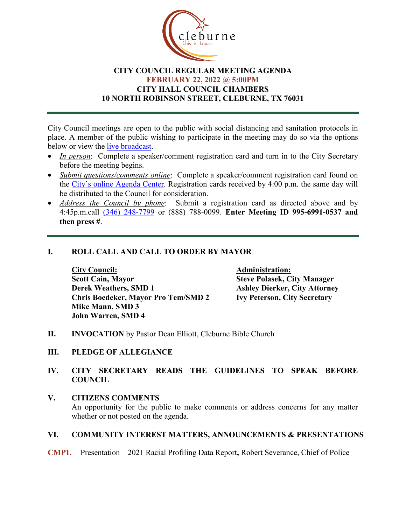

# **CITY COUNCIL REGULAR MEETING AGENDA FEBRUARY 22, 2022 @ 5:00PM CITY HALL COUNCIL CHAMBERS 10 NORTH ROBINSON STREET, CLEBURNE, TX 76031**

City Council meetings are open to the public with social distancing and sanitation protocols in place. A member of the public wishing to participate in the meeting may do so via the options below or view the [live broadcast.](http://www.cleburne.net/925/Cleburne-Live)

- *In person*: Complete a speaker/comment registration card and turn in to the City Secretary before the meeting begins.
- *Submit questions/comments online*: Complete a speaker/comment registration card found on the [City's online Agenda Center.](https://www.cleburne.net/agendacenter) Registration cards received by 4:00 p.m. the same day will be distributed to the Council for consideration.
- *Address the Council by phone*: Submit a registration card as directed above and by 4:45p.m.call [\(346\) 248-7799](tel:+13127573117,,477307821) or (888) 788-0099. **Enter Meeting ID 995-6991-0537 and then press #**.

# **I. ROLL CALL AND CALL TO ORDER BY MAYOR**

**City Council: Administration: Scott Cain, Mayor Steve Polasek, City Manager Derek Weathers, SMD 1 Ashley Dierker, City Attorney Chris Boedeker, Mayor Pro Tem/SMD 2 Ivy Peterson, City Secretary Mike Mann, SMD 3 John Warren, SMD 4**

- **II. INVOCATION** by Pastor Dean Elliott, Cleburne Bible Church
- **III. PLEDGE OF ALLEGIANCE**
- **IV. CITY SECRETARY READS THE GUIDELINES TO SPEAK BEFORE COUNCIL**
- **V. CITIZENS COMMENTS** An opportunity for the public to make comments or address concerns for any matter whether or not posted on the agenda.

# **VI. COMMUNITY INTEREST MATTERS, ANNOUNCEMENTS & PRESENTATIONS**

#### **CMP1.** Presentation – 2021 Racial Profiling Data Report**,** Robert Severance, Chief of Police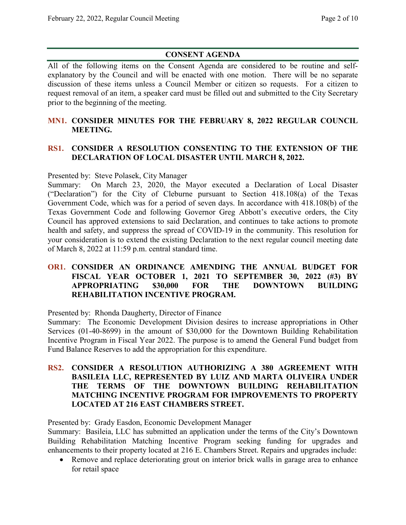# **CONSENT AGENDA**

All of the following items on the Consent Agenda are considered to be routine and selfexplanatory by the Council and will be enacted with one motion. There will be no separate discussion of these items unless a Council Member or citizen so requests. For a citizen to request removal of an item, a speaker card must be filled out and submitted to the City Secretary prior to the beginning of the meeting.

# **MN1. CONSIDER MINUTES FOR THE FEBRUARY 8, 2022 REGULAR COUNCIL MEETING.**

# **RS1. CONSIDER A RESOLUTION CONSENTING TO THE EXTENSION OF THE DECLARATION OF LOCAL DISASTER UNTIL MARCH 8, 2022.**

Presented by: Steve Polasek, City Manager

Summary: On March 23, 2020, the Mayor executed a Declaration of Local Disaster ("Declaration") for the City of Cleburne pursuant to Section 418.108(a) of the Texas Government Code, which was for a period of seven days. In accordance with 418.108(b) of the Texas Government Code and following Governor Greg Abbott's executive orders, the City Council has approved extensions to said Declaration, and continues to take actions to promote health and safety, and suppress the spread of COVID-19 in the community. This resolution for your consideration is to extend the existing Declaration to the next regular council meeting date of March 8, 2022 at 11:59 p.m. central standard time.

# **OR1. CONSIDER AN ORDINANCE AMENDING THE ANNUAL BUDGET FOR FISCAL YEAR OCTOBER 1, 2021 TO SEPTEMBER 30, 2022 (#3) BY APPROPRIATING \$30,000 FOR THE DOWNTOWN BUILDING REHABILITATION INCENTIVE PROGRAM.**

Presented by: Rhonda Daugherty, Director of Finance

Summary: The Economic Development Division desires to increase appropriations in Other Services (01-40-8699) in the amount of \$30,000 for the Downtown Building Rehabilitation Incentive Program in Fiscal Year 2022. The purpose is to amend the General Fund budget from Fund Balance Reserves to add the appropriation for this expenditure.

**RS2. CONSIDER A RESOLUTION AUTHORIZING A 380 AGREEMENT WITH BASILEIA LLC, REPRESENTED BY LUIZ AND MARTA OLIVEIRA UNDER THE TERMS OF THE DOWNTOWN BUILDING REHABILITATION MATCHING INCENTIVE PROGRAM FOR IMPROVEMENTS TO PROPERTY LOCATED AT 216 EAST CHAMBERS STREET.**

Presented by: Grady Easdon, Economic Development Manager

Summary: Basileia, LLC has submitted an application under the terms of the City's Downtown Building Rehabilitation Matching Incentive Program seeking funding for upgrades and enhancements to their property located at 216 E. Chambers Street. Repairs and upgrades include:

• Remove and replace deteriorating grout on interior brick walls in garage area to enhance for retail space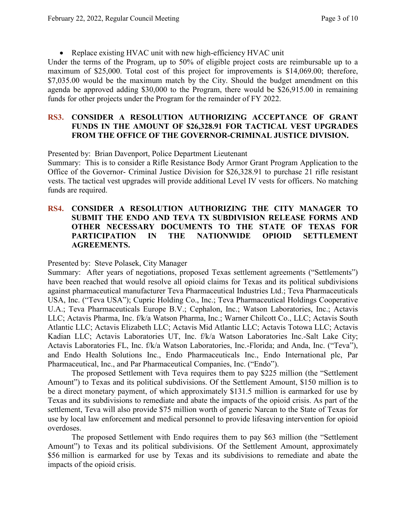• Replace existing HVAC unit with new high-efficiency HVAC unit

Under the terms of the Program, up to 50% of eligible project costs are reimbursable up to a maximum of \$25,000. Total cost of this project for improvements is \$14,069.00; therefore, \$7,035.00 would be the maximum match by the City. Should the budget amendment on this agenda be approved adding \$30,000 to the Program, there would be \$26,915.00 in remaining funds for other projects under the Program for the remainder of FY 2022.

## **RS3. CONSIDER A RESOLUTION AUTHORIZING ACCEPTANCE OF GRANT FUNDS IN THE AMOUNT OF \$26,328.91 FOR TACTICAL VEST UPGRADES FROM THE OFFICE OF THE GOVERNOR-CRIMINAL JUSTICE DIVISION.**

Presented by: Brian Davenport, Police Department Lieutenant

Summary: This is to consider a Rifle Resistance Body Armor Grant Program Application to the Office of the Governor- Criminal Justice Division for \$26,328.91 to purchase 21 rifle resistant vests. The tactical vest upgrades will provide additional Level IV vests for officers. No matching funds are required.

# **RS4. CONSIDER A RESOLUTION AUTHORIZING THE CITY MANAGER TO SUBMIT THE ENDO AND TEVA TX SUBDIVISION RELEASE FORMS AND OTHER NECESSARY DOCUMENTS TO THE STATE OF TEXAS FOR PARTICIPATION IN THE NATIONWIDE OPIOID SETTLEMENT AGREEMENTS.**

Presented by: Steve Polasek, City Manager

Summary: After years of negotiations, proposed Texas settlement agreements ("Settlements") have been reached that would resolve all opioid claims for Texas and its political subdivisions against pharmaceutical manufacturer Teva Pharmaceutical Industries Ltd.; Teva Pharmaceuticals USA, Inc. ("Teva USA"); Cupric Holding Co., Inc.; Teva Pharmaceutical Holdings Cooperative U.A.; Teva Pharmaceuticals Europe B.V.; Cephalon, Inc.; Watson Laboratories, Inc.; Actavis LLC; Actavis Pharma, Inc. f/k/a Watson Pharma, Inc.; Warner Chilcott Co., LLC; Actavis South Atlantic LLC; Actavis Elizabeth LLC; Actavis Mid Atlantic LLC; Actavis Totowa LLC; Actavis Kadian LLC; Actavis Laboratories UT, Inc. f/k/a Watson Laboratories Inc.-Salt Lake City; Actavis Laboratories FL, Inc. f/k/a Watson Laboratories, Inc.-Florida; and Anda, Inc. ("Teva"), and Endo Health Solutions Inc., Endo Pharmaceuticals Inc., Endo International plc, Par Pharmaceutical, Inc., and Par Pharmaceutical Companies, Inc. ("Endo").

The proposed Settlement with Teva requires them to pay \$225 million (the "Settlement Amount") to Texas and its political subdivisions. Of the Settlement Amount, \$150 million is to be a direct monetary payment, of which approximately \$131.5 million is earmarked for use by Texas and its subdivisions to remediate and abate the impacts of the opioid crisis. As part of the settlement, Teva will also provide \$75 million worth of generic Narcan to the State of Texas for use by local law enforcement and medical personnel to provide lifesaving intervention for opioid overdoses.

The proposed Settlement with Endo requires them to pay \$63 million (the "Settlement Amount") to Texas and its political subdivisions. Of the Settlement Amount, approximately \$56 million is earmarked for use by Texas and its subdivisions to remediate and abate the impacts of the opioid crisis.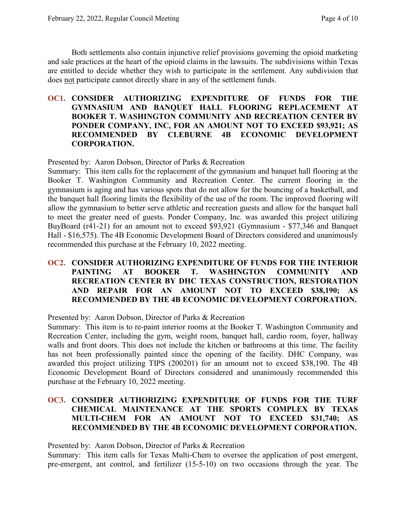Both settlements also contain injunctive relief provisions governing the opioid marketing and sale practices at the heart of the opioid claims in the lawsuits. The subdivisions within Texas are entitled to decide whether they wish to participate in the settlement. Any subdivision that does not participate cannot directly share in any of the settlement funds.

#### **OC1. CONSIDER AUTHORIZING EXPENDITURE OF FUNDS FOR THE GYMNASIUM AND BANQUET HALL FLOORING REPLACEMENT AT BOOKER T. WASHINGTON COMMUNITY AND RECREATION CENTER BY PONDER COMPANY, INC, FOR AN AMOUNT NOT TO EXCEED \$93,921; AS RECOMMENDED BY CLEBURNE 4B ECONOMIC DEVELOPMENT CORPORATION.**

#### Presented by: Aaron Dobson, Director of Parks & Recreation

Summary: This item calls for the replacement of the gymnasium and banquet hall flooring at the Booker T. Washington Community and Recreation Center. The current flooring in the gymnasium is aging and has various spots that do not allow for the bouncing of a basketball, and the banquet hall flooring limits the flexibility of the use of the room. The improved flooring will allow the gymnasium to better serve athletic and recreation guests and allow for the banquet hall to meet the greater need of guests. Ponder Company, Inc. was awarded this project utilizing BuyBoard (r41-21) for an amount not to exceed \$93,921 (Gymnasium - \$77,346 and Banquet Hall - \$16,575). The 4B Economic Development Board of Directors considered and unanimously recommended this purchase at the February 10, 2022 meeting.

## **OC2. CONSIDER AUTHORIZING EXPENDITURE OF FUNDS FOR THE INTERIOR PAINTING AT BOOKER T. WASHINGTON COMMUNITY AND RECREATION CENTER BY DHC TEXAS CONSTRUCTION, RESTORATION AND REPAIR FOR AN AMOUNT NOT TO EXCEED \$38,190; AS RECOMMENDED BY THE 4B ECONOMIC DEVELOPMENT CORPORATION.**

Presented by: Aaron Dobson, Director of Parks & Recreation

Summary: This item is to re-paint interior rooms at the Booker T. Washington Community and Recreation Center, including the gym, weight room, banquet hall, cardio room, foyer, hallway walls and front doors. This does not include the kitchen or bathrooms at this time. The facility has not been professionally painted since the opening of the facility. DHC Company, was awarded this project utilizing TIPS (200201) for an amount not to exceed \$38,190. The 4B Economic Development Board of Directors considered and unanimously recommended this purchase at the February 10, 2022 meeting.

### **OC3. CONSIDER AUTHORIZING EXPENDITURE OF FUNDS FOR THE TURF CHEMICAL MAINTENANCE AT THE SPORTS COMPLEX BY TEXAS MULTI-CHEM FOR AN AMOUNT NOT TO EXCEED \$31,740; AS RECOMMENDED BY THE 4B ECONOMIC DEVELOPMENT CORPORATION.**

Presented by: Aaron Dobson, Director of Parks & Recreation

Summary: This item calls for Texas Multi-Chem to oversee the application of post emergent, pre-emergent, ant control, and fertilizer (15-5-10) on two occasions through the year. The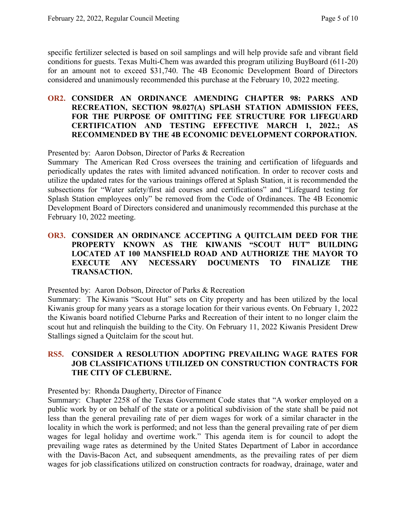specific fertilizer selected is based on soil samplings and will help provide safe and vibrant field conditions for guests. Texas Multi-Chem was awarded this program utilizing BuyBoard (611-20) for an amount not to exceed \$31,740. The 4B Economic Development Board of Directors considered and unanimously recommended this purchase at the February 10, 2022 meeting.

#### **OR2. CONSIDER AN ORDINANCE AMENDING CHAPTER 98: PARKS AND RECREATION, SECTION 98.027(A) SPLASH STATION ADMISSION FEES, FOR THE PURPOSE OF OMITTING FEE STRUCTURE FOR LIFEGUARD CERTIFICATION AND TESTING EFFECTIVE MARCH 1, 2022.; AS RECOMMENDED BY THE 4B ECONOMIC DEVELOPMENT CORPORATION.**

Presented by: Aaron Dobson, Director of Parks & Recreation

Summary The American Red Cross oversees the training and certification of lifeguards and periodically updates the rates with limited advanced notification. In order to recover costs and utilize the updated rates for the various trainings offered at Splash Station, it is recommended the subsections for "Water safety/first aid courses and certifications" and "Lifeguard testing for Splash Station employees only" be removed from the Code of Ordinances. The 4B Economic Development Board of Directors considered and unanimously recommended this purchase at the February 10, 2022 meeting.

# **OR3. CONSIDER AN ORDINANCE ACCEPTING A QUITCLAIM DEED FOR THE PROPERTY KNOWN AS THE KIWANIS "SCOUT HUT" BUILDING LOCATED AT 100 MANSFIELD ROAD AND AUTHORIZE THE MAYOR TO EXECUTE ANY NECESSARY DOCUMENTS TO FINALIZE THE TRANSACTION.**

Presented by: Aaron Dobson, Director of Parks & Recreation

Summary: The Kiwanis "Scout Hut" sets on City property and has been utilized by the local Kiwanis group for many years as a storage location for their various events. On February 1, 2022 the Kiwanis board notified Cleburne Parks and Recreation of their intent to no longer claim the scout hut and relinquish the building to the City. On February 11, 2022 Kiwanis President Drew Stallings signed a Quitclaim for the scout hut.

## **RS5. CONSIDER A RESOLUTION ADOPTING PREVAILING WAGE RATES FOR JOB CLASSIFICATIONS UTILIZED ON CONSTRUCTION CONTRACTS FOR THE CITY OF CLEBURNE.**

Presented by: Rhonda Daugherty, Director of Finance

Summary: Chapter 2258 of the Texas Government Code states that "A worker employed on a public work by or on behalf of the state or a political subdivision of the state shall be paid not less than the general prevailing rate of per diem wages for work of a similar character in the locality in which the work is performed; and not less than the general prevailing rate of per diem wages for legal holiday and overtime work." This agenda item is for council to adopt the prevailing wage rates as determined by the United States Department of Labor in accordance with the Davis-Bacon Act, and subsequent amendments, as the prevailing rates of per diem wages for job classifications utilized on construction contracts for roadway, drainage, water and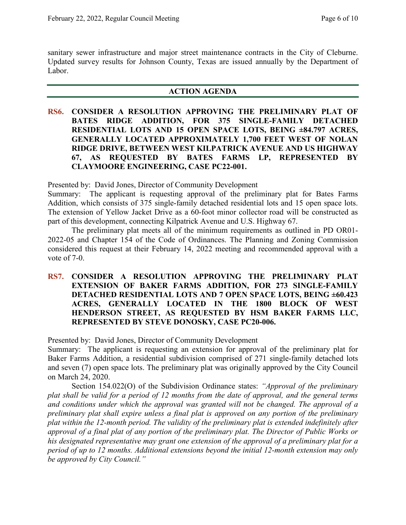sanitary sewer infrastructure and major street maintenance contracts in the City of Cleburne. Updated survey results for Johnson County, Texas are issued annually by the Department of Labor.

#### **ACTION AGENDA**

**RS6. CONSIDER A RESOLUTION APPROVING THE PRELIMINARY PLAT OF BATES RIDGE ADDITION, FOR 375 SINGLE-FAMILY DETACHED RESIDENTIAL LOTS AND 15 OPEN SPACE LOTS, BEING ±84.797 ACRES, GENERALLY LOCATED APPROXIMATELY 1,700 FEET WEST OF NOLAN RIDGE DRIVE, BETWEEN WEST KILPATRICK AVENUE AND US HIGHWAY 67, AS REQUESTED BY BATES FARMS LP, REPRESENTED BY CLAYMOORE ENGINEERING, CASE PC22-001.**

Presented by: David Jones, Director of Community Development

Summary: The applicant is requesting approval of the preliminary plat for Bates Farms Addition, which consists of 375 single-family detached residential lots and 15 open space lots. The extension of Yellow Jacket Drive as a 60-foot minor collector road will be constructed as part of this development, connecting Kilpatrick Avenue and U.S. Highway 67.

The preliminary plat meets all of the minimum requirements as outlined in PD OR01- 2022-05 and Chapter 154 of the Code of Ordinances. The Planning and Zoning Commission considered this request at their February 14, 2022 meeting and recommended approval with a vote of 7-0.

**RS7. CONSIDER A RESOLUTION APPROVING THE PRELIMINARY PLAT EXTENSION OF BAKER FARMS ADDITION, FOR 273 SINGLE-FAMILY DETACHED RESIDENTIAL LOTS AND 7 OPEN SPACE LOTS, BEING ±60.423 ACRES, GENERALLY LOCATED IN THE 1800 BLOCK OF WEST HENDERSON STREET, AS REQUESTED BY HSM BAKER FARMS LLC, REPRESENTED BY STEVE DONOSKY, CASE PC20-006.**

Presented by: David Jones, Director of Community Development

Summary: The applicant is requesting an extension for approval of the preliminary plat for Baker Farms Addition, a residential subdivision comprised of 271 single-family detached lots and seven (7) open space lots. The preliminary plat was originally approved by the City Council on March 24, 2020.

Section 154.022(O) of the Subdivision Ordinance states: *"Approval of the preliminary plat shall be valid for a period of 12 months from the date of approval, and the general terms and conditions under which the approval was granted will not be changed. The approval of a preliminary plat shall expire unless a final plat is approved on any portion of the preliminary plat within the 12-month period. The validity of the preliminary plat is extended indefinitely after approval of a final plat of any portion of the preliminary plat. The Director of Public Works or his designated representative may grant one extension of the approval of a preliminary plat for a period of up to 12 months. Additional extensions beyond the initial 12-month extension may only be approved by City Council."*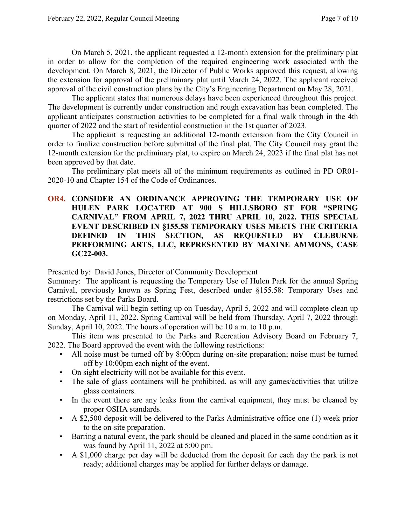On March 5, 2021, the applicant requested a 12-month extension for the preliminary plat in order to allow for the completion of the required engineering work associated with the development. On March 8, 2021, the Director of Public Works approved this request, allowing the extension for approval of the preliminary plat until March 24, 2022. The applicant received approval of the civil construction plans by the City's Engineering Department on May 28, 2021.

The applicant states that numerous delays have been experienced throughout this project. The development is currently under construction and rough excavation has been completed. The applicant anticipates construction activities to be completed for a final walk through in the 4th quarter of 2022 and the start of residential construction in the 1st quarter of 2023.

The applicant is requesting an additional 12-month extension from the City Council in order to finalize construction before submittal of the final plat. The City Council may grant the 12-month extension for the preliminary plat, to expire on March 24, 2023 if the final plat has not been approved by that date.

The preliminary plat meets all of the minimum requirements as outlined in PD OR01- 2020-10 and Chapter 154 of the Code of Ordinances.

# **OR4. CONSIDER AN ORDINANCE APPROVING THE TEMPORARY USE OF HULEN PARK LOCATED AT 900 S HILLSBORO ST FOR "SPRING CARNIVAL" FROM APRIL 7, 2022 THRU APRIL 10, 2022. THIS SPECIAL EVENT DESCRIBED IN §155.58 TEMPORARY USES MEETS THE CRITERIA DEFINED IN THIS SECTION, AS REQUESTED BY CLEBURNE PERFORMING ARTS, LLC, REPRESENTED BY MAXINE AMMONS, CASE GC22-003.**

Presented by: David Jones, Director of Community Development

Summary: The applicant is requesting the Temporary Use of Hulen Park for the annual Spring Carnival, previously known as Spring Fest, described under §155.58: Temporary Uses and restrictions set by the Parks Board.

The Carnival will begin setting up on Tuesday, April 5, 2022 and will complete clean up on Monday, April 11, 2022. Spring Carnival will be held from Thursday, April 7, 2022 through Sunday, April 10, 2022. The hours of operation will be 10 a.m. to 10 p.m.

This item was presented to the Parks and Recreation Advisory Board on February 7, 2022. The Board approved the event with the following restrictions:

- All noise must be turned off by 8:00pm during on-site preparation; noise must be turned off by 10:00pm each night of the event.
- On sight electricity will not be available for this event.
- The sale of glass containers will be prohibited, as will any games/activities that utilize glass containers.
- In the event there are any leaks from the carnival equipment, they must be cleaned by proper OSHA standards.
- A \$2,500 deposit will be delivered to the Parks Administrative office one (1) week prior to the on-site preparation.
- Barring a natural event, the park should be cleaned and placed in the same condition as it was found by April 11, 2022 at 5:00 pm.
- A \$1,000 charge per day will be deducted from the deposit for each day the park is not ready; additional charges may be applied for further delays or damage.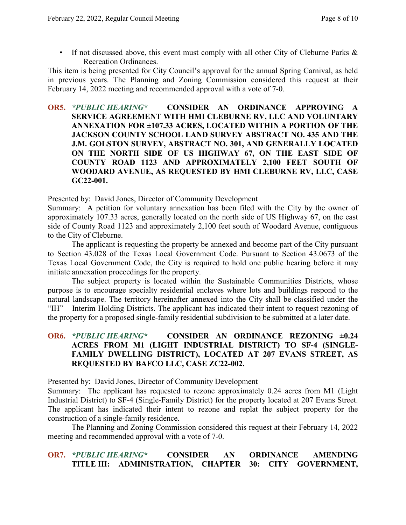• If not discussed above, this event must comply with all other City of Cleburne Parks & Recreation Ordinances.

This item is being presented for City Council's approval for the annual Spring Carnival, as held in previous years. The Planning and Zoning Commission considered this request at their February 14, 2022 meeting and recommended approval with a vote of 7-0.

**OR5.** *\*PUBLIC HEARING\** **CONSIDER AN ORDINANCE APPROVING A SERVICE AGREEMENT WITH HMI CLEBURNE RV, LLC AND VOLUNTARY ANNEXATION FOR ±107.33 ACRES, LOCATED WITHIN A PORTION OF THE JACKSON COUNTY SCHOOL LAND SURVEY ABSTRACT NO. 435 AND THE J.M. GOLSTON SURVEY, ABSTRACT NO. 301, AND GENERALLY LOCATED ON THE NORTH SIDE OF US HIGHWAY 67, ON THE EAST SIDE OF COUNTY ROAD 1123 AND APPROXIMATELY 2,100 FEET SOUTH OF WOODARD AVENUE, AS REQUESTED BY HMI CLEBURNE RV, LLC, CASE GC22-001.**

Presented by: David Jones, Director of Community Development

Summary: A petition for voluntary annexation has been filed with the City by the owner of approximately 107.33 acres, generally located on the north side of US Highway 67, on the east side of County Road 1123 and approximately 2,100 feet south of Woodard Avenue, contiguous to the City of Cleburne.

The applicant is requesting the property be annexed and become part of the City pursuant to Section 43.028 of the Texas Local Government Code. Pursuant to Section 43.0673 of the Texas Local Government Code, the City is required to hold one public hearing before it may initiate annexation proceedings for the property.

The subject property is located within the Sustainable Communities Districts, whose purpose is to encourage specialty residential enclaves where lots and buildings respond to the natural landscape. The territory hereinafter annexed into the City shall be classified under the "IH" – Interim Holding Districts. The applicant has indicated their intent to request rezoning of the property for a proposed single-family residential subdivision to be submitted at a later date.

# **OR6.** *\*PUBLIC HEARING\** **CONSIDER AN ORDINANCE REZONING ±0.24 ACRES FROM M1 (LIGHT INDUSTRIAL DISTRICT) TO SF-4 (SINGLE-FAMILY DWELLING DISTRICT), LOCATED AT 207 EVANS STREET, AS REQUESTED BY BAFCO LLC, CASE ZC22-002.**

Presented by: David Jones, Director of Community Development

Summary: The applicant has requested to rezone approximately 0.24 acres from M1 (Light Industrial District) to SF-4 (Single-Family District) for the property located at 207 Evans Street. The applicant has indicated their intent to rezone and replat the subject property for the construction of a single-family residence.

The Planning and Zoning Commission considered this request at their February 14, 2022 meeting and recommended approval with a vote of 7-0.

# **OR7.** *\*PUBLIC HEARING\** **CONSIDER AN ORDINANCE AMENDING TITLE III: ADMINISTRATION, CHAPTER 30: CITY GOVERNMENT,**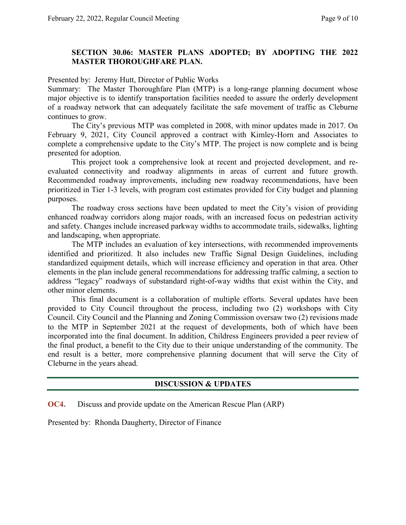### **SECTION 30.06: MASTER PLANS ADOPTED; BY ADOPTING THE 2022 MASTER THOROUGHFARE PLAN.**

Presented by: Jeremy Hutt, Director of Public Works

Summary: The Master Thoroughfare Plan (MTP) is a long-range planning document whose major objective is to identify transportation facilities needed to assure the orderly development of a roadway network that can adequately facilitate the safe movement of traffic as Cleburne continues to grow.

The City's previous MTP was completed in 2008, with minor updates made in 2017. On February 9, 2021, City Council approved a contract with Kimley-Horn and Associates to complete a comprehensive update to the City's MTP. The project is now complete and is being presented for adoption.

This project took a comprehensive look at recent and projected development, and reevaluated connectivity and roadway alignments in areas of current and future growth. Recommended roadway improvements, including new roadway recommendations, have been prioritized in Tier 1-3 levels, with program cost estimates provided for City budget and planning purposes.

The roadway cross sections have been updated to meet the City's vision of providing enhanced roadway corridors along major roads, with an increased focus on pedestrian activity and safety. Changes include increased parkway widths to accommodate trails, sidewalks, lighting and landscaping, when appropriate.

The MTP includes an evaluation of key intersections, with recommended improvements identified and prioritized. It also includes new Traffic Signal Design Guidelines, including standardized equipment details, which will increase efficiency and operation in that area. Other elements in the plan include general recommendations for addressing traffic calming, a section to address "legacy" roadways of substandard right-of-way widths that exist within the City, and other minor elements.

This final document is a collaboration of multiple efforts. Several updates have been provided to City Council throughout the process, including two (2) workshops with City Council. City Council and the Planning and Zoning Commission oversaw two (2) revisions made to the MTP in September 2021 at the request of developments, both of which have been incorporated into the final document. In addition, Childress Engineers provided a peer review of the final product, a benefit to the City due to their unique understanding of the community. The end result is a better, more comprehensive planning document that will serve the City of Cleburne in the years ahead.

# **DISCUSSION & UPDATES**

**OC4.** Discuss and provide update on the American Rescue Plan (ARP)

Presented by: Rhonda Daugherty, Director of Finance